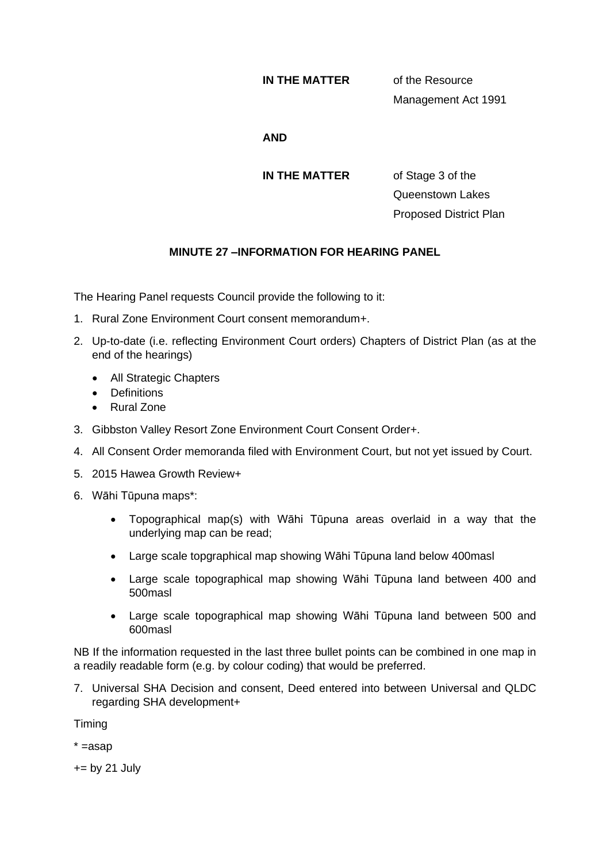## **IN THE MATTER** of the Resource

Management Act 1991

## **AND**

**IN THE MATTER** of Stage 3 of the

Queenstown Lakes Proposed District Plan

## **MINUTE 27 –INFORMATION FOR HEARING PANEL**

The Hearing Panel requests Council provide the following to it:

- 1. Rural Zone Environment Court consent memorandum+.
- 2. Up-to-date (i.e. reflecting Environment Court orders) Chapters of District Plan (as at the end of the hearings)
	- All Strategic Chapters
	- Definitions
	- Rural Zone
- 3. Gibbston Valley Resort Zone Environment Court Consent Order+.
- 4. All Consent Order memoranda filed with Environment Court, but not yet issued by Court.
- 5. 2015 Hawea Growth Review+
- 6. Wāhi Tūpuna maps\*:
	- Topographical map(s) with Wāhi Tūpuna areas overlaid in a way that the underlying map can be read;
	- Large scale topgraphical map showing Wāhi Tūpuna land below 400masl
	- Large scale topographical map showing Wāhi Tūpuna land between 400 and 500masl
	- Large scale topographical map showing Wāhi Tūpuna land between 500 and 600masl

NB If the information requested in the last three bullet points can be combined in one map in a readily readable form (e.g. by colour coding) that would be preferred.

7. Universal SHA Decision and consent, Deed entered into between Universal and QLDC regarding SHA development+

Timing

 $* =$ asap

 $+=$  by 21 July